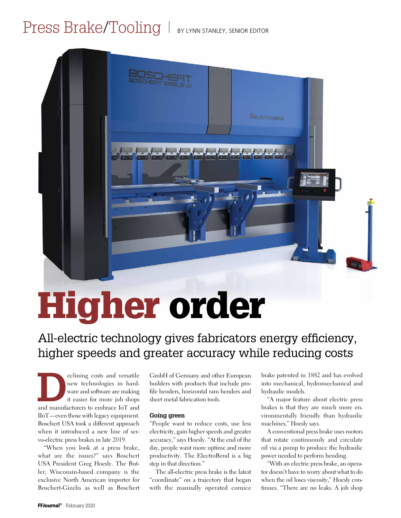# Press Brake/Tooling | BY LYNN STANLEY, SENIOR EDITOR

# Higher order

## All-electric technology gives fabricators energy efficiency, higher speeds and greater accuracy while reducing costs

eclining costs and versatile<br>
new technologies in hard-<br>
ware and software are making<br>
it easier for more job shops<br>
and manufacturers to embrace IoT and new technologies in hardware and software are making it easier for more job shops IIoT—even those with legacy equipment. Boschert USA took a different approach when it introduced a new line of servo-electric press brakes in late 2019.

"When you look at a press brake, what are the issues?" says Boschert USA President Greg Hoesly. The Butler, Wisconsin-based company is the exclusive North American importer for Boschert-Gizelis as well as Boschert GmbH of Germany and other European builders with products that include profile benders, horizontal ram benders and sheet metal fabrication tools.

#### **Going green**

"People want to reduce costs, use less electricity, gain higher speeds and greater accuracy," says Hoesly. "At the end of the day, people want more uptime and more productivity. The ElectroBend is a big step in that direction."

The all-electric press brake is the latest "coordinate" on a trajectory that began with the manually operated cornice

brake patented in 1882 and has evolved into mechanical, hydromechanical and hydraulic models.

**Gelectrosetin** 

"A major feature about electric press brakes is that they are much more environmentally friendly than hydraulic machines," Hoesly says.

A conventional press brake uses motors that rotate continuously and circulate oil via a pump to produce the hydraulic power needed to perform bending.

"With an electric press brake, an operator doesn't have to worry about what to do when the oil loses viscosity," Hoesly continues. "There are no leaks. A job shop